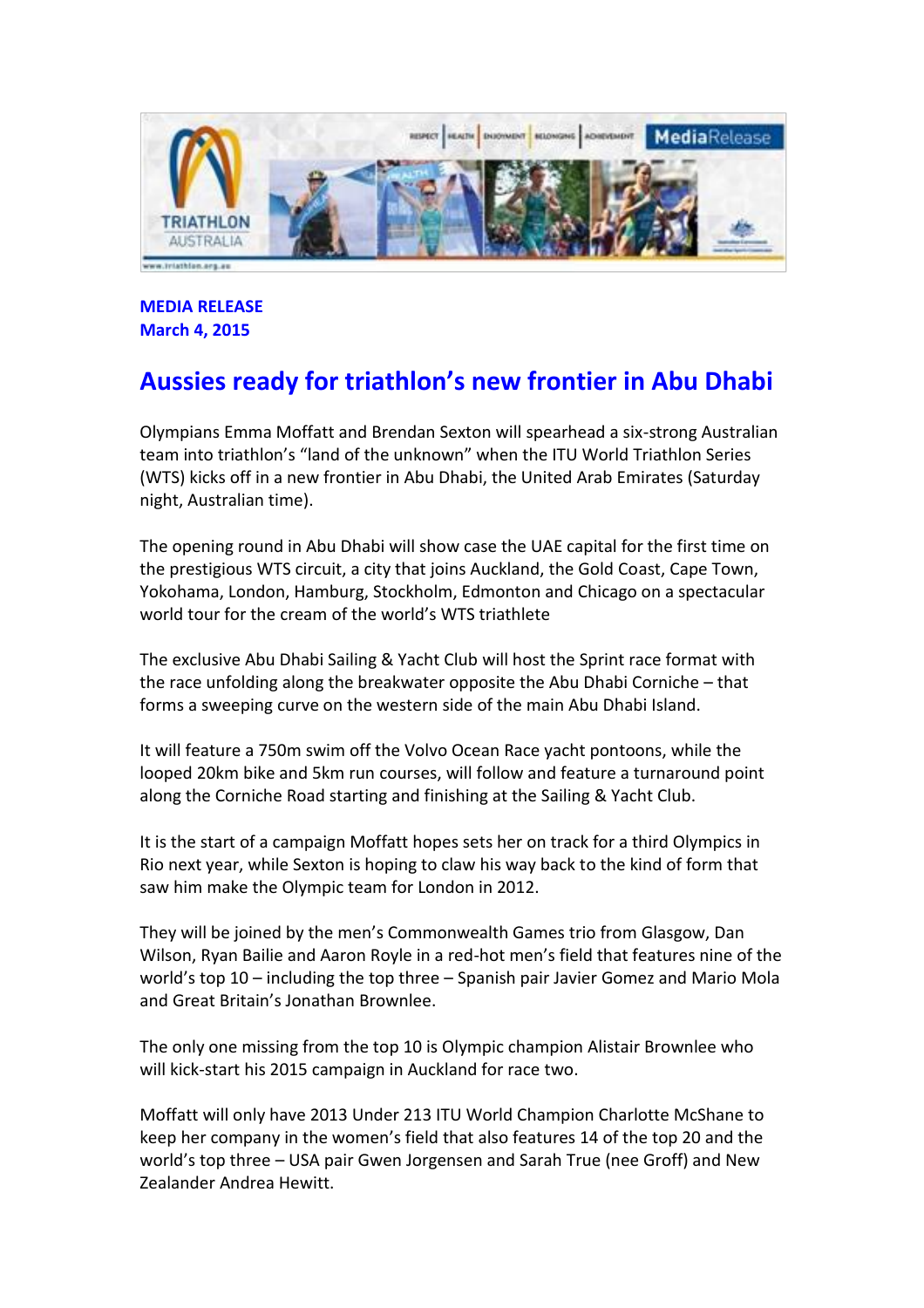

**MEDIA RELEASE March 4, 2015**

# **Aussies ready for triathlon's new frontier in Abu Dhabi**

Olympians Emma Moffatt and Brendan Sexton will spearhead a six-strong Australian team into triathlon's "land of the unknown" when the ITU World Triathlon Series (WTS) kicks off in a new frontier in Abu Dhabi, the United Arab Emirates (Saturday night, Australian time).

The opening round in Abu Dhabi will show case the UAE capital for the first time on the prestigious WTS circuit, a city that joins Auckland, the Gold Coast, Cape Town, Yokohama, London, Hamburg, Stockholm, Edmonton and Chicago on a spectacular world tour for the cream of the world's WTS triathlete

The exclusive Abu Dhabi Sailing & Yacht Club will host the Sprint race format with the race unfolding along the breakwater opposite the Abu Dhabi Corniche – that forms a sweeping curve on the western side of the main Abu Dhabi Island.

It will feature a 750m swim off the Volvo Ocean Race yacht pontoons, while the looped 20km bike and 5km run courses, will follow and feature a turnaround point along the Corniche Road starting and finishing at the Sailing & Yacht Club.

It is the start of a campaign Moffatt hopes sets her on track for a third Olympics in Rio next year, while Sexton is hoping to claw his way back to the kind of form that saw him make the Olympic team for London in 2012.

They will be joined by the men's Commonwealth Games trio from Glasgow, Dan Wilson, Ryan Bailie and Aaron Royle in a red-hot men's field that features nine of the world's top 10 – including the top three – Spanish pair Javier Gomez and Mario Mola and Great Britain's Jonathan Brownlee.

The only one missing from the top 10 is Olympic champion Alistair Brownlee who will kick-start his 2015 campaign in Auckland for race two.

Moffatt will only have 2013 Under 213 ITU World Champion Charlotte McShane to keep her company in the women's field that also features 14 of the top 20 and the world's top three – USA pair Gwen Jorgensen and Sarah True (nee Groff) and New Zealander Andrea Hewitt.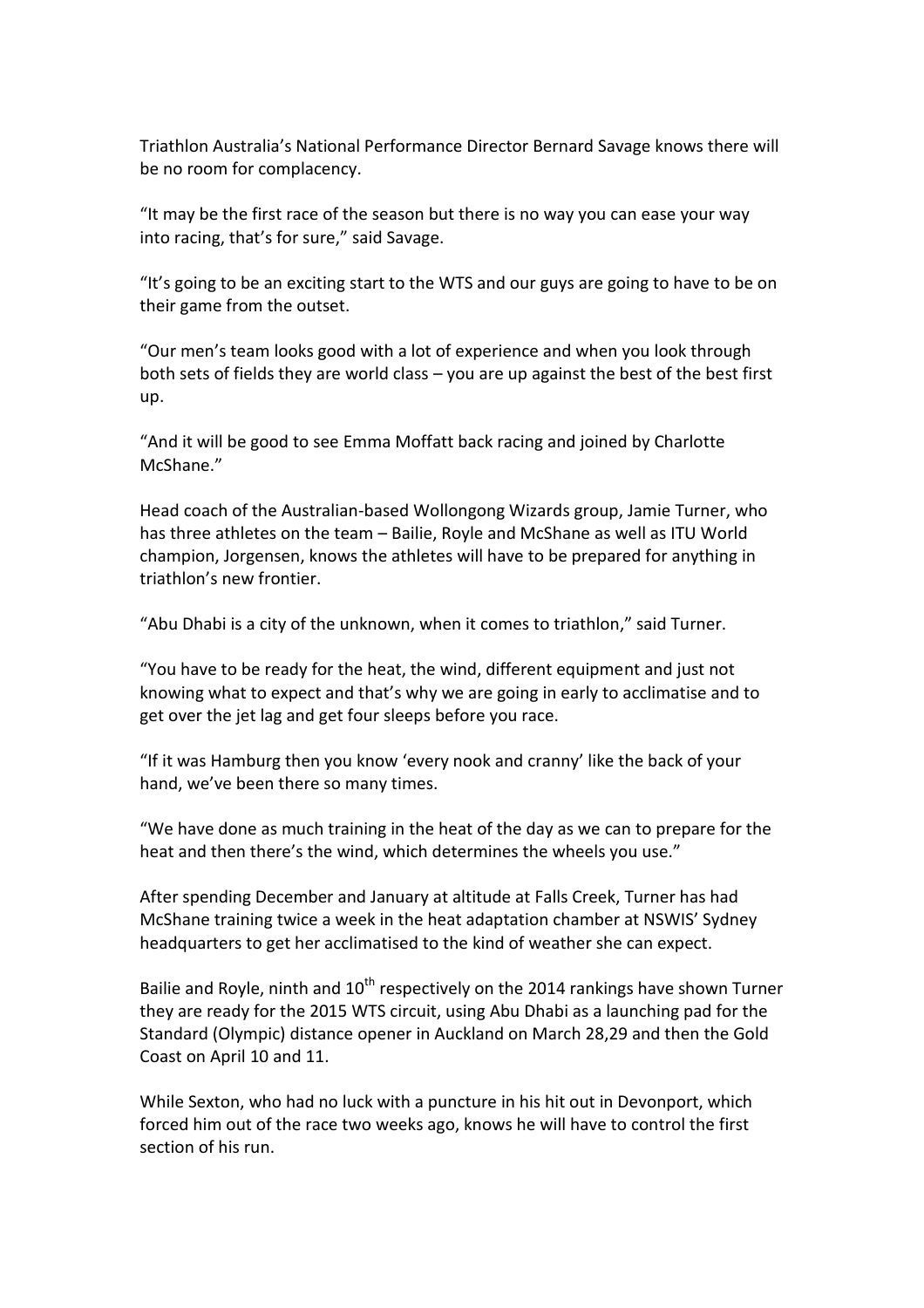Triathlon Australia's National Performance Director Bernard Savage knows there will be no room for complacency.

"It may be the first race of the season but there is no way you can ease your way into racing, that's for sure," said Savage.

"It's going to be an exciting start to the WTS and our guys are going to have to be on their game from the outset.

"Our men's team looks good with a lot of experience and when you look through both sets of fields they are world class – you are up against the best of the best first up.

"And it will be good to see Emma Moffatt back racing and joined by Charlotte McShane."

Head coach of the Australian-based Wollongong Wizards group, Jamie Turner, who has three athletes on the team – Bailie, Royle and McShane as well as ITU World champion, Jorgensen, knows the athletes will have to be prepared for anything in triathlon's new frontier.

"Abu Dhabi is a city of the unknown, when it comes to triathlon," said Turner.

"You have to be ready for the heat, the wind, different equipment and just not knowing what to expect and that's why we are going in early to acclimatise and to get over the jet lag and get four sleeps before you race.

"If it was Hamburg then you know 'every nook and cranny' like the back of your hand, we've been there so many times.

"We have done as much training in the heat of the day as we can to prepare for the heat and then there's the wind, which determines the wheels you use."

After spending December and January at altitude at Falls Creek, Turner has had McShane training twice a week in the heat adaptation chamber at NSWIS' Sydney headquarters to get her acclimatised to the kind of weather she can expect.

Bailie and Royle, ninth and  $10<sup>th</sup>$  respectively on the 2014 rankings have shown Turner they are ready for the 2015 WTS circuit, using Abu Dhabi as a launching pad for the Standard (Olympic) distance opener in Auckland on March 28,29 and then the Gold Coast on April 10 and 11.

While Sexton, who had no luck with a puncture in his hit out in Devonport, which forced him out of the race two weeks ago, knows he will have to control the first section of his run.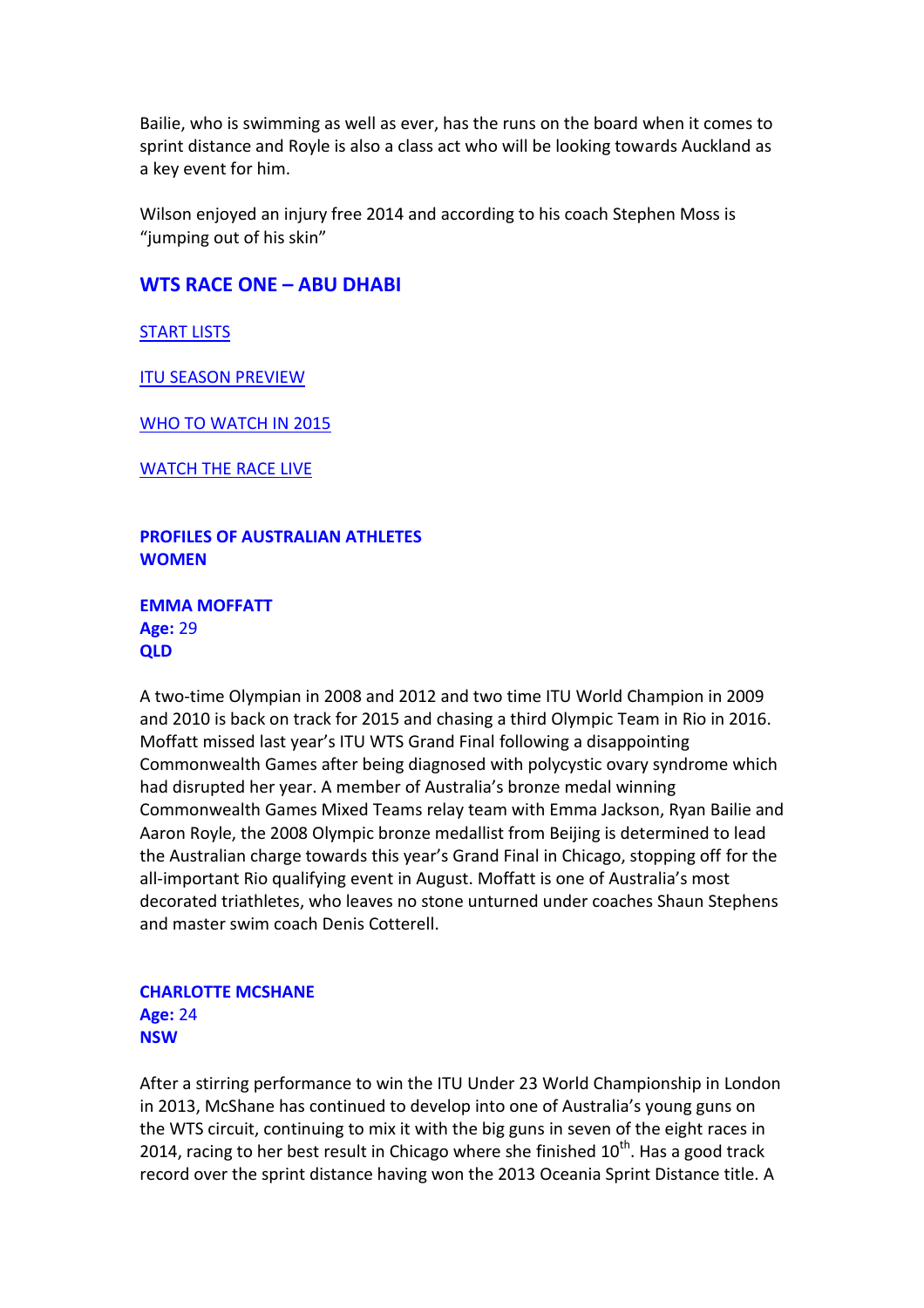Bailie, who is swimming as well as ever, has the runs on the board when it comes to sprint distance and Royle is also a class act who will be looking towards Auckland as a key event for him.

Wilson enjoyed an injury free 2014 and according to his coach Stephen Moss is "jumping out of his skin"

# **WTS RACE ONE – ABU DHABI**

[START LISTS](http://wts.triathlon.org/series/start_lists)

[ITU SEASON PREVIEW](http://www.triathlon.org/news/article/what_to_watch_for_on_the_2015_itu_calendar)

[WHO TO WATCH IN 2015](http://www.triathlon.org/news/article/who_to_watch_in_the_2015_season)

[WATCH THE RACE LIVE](http://wts.triathlon.org/series/live_online)

**PROFILES OF AUSTRALIAN ATHLETES WOMEN**

**EMMA MOFFATT Age:** 29 **QLD**

A two-time Olympian in 2008 and 2012 and two time ITU World Champion in 2009 and 2010 is back on track for 2015 and chasing a third Olympic Team in Rio in 2016. Moffatt missed last year's ITU WTS Grand Final following a disappointing Commonwealth Games after being diagnosed with polycystic ovary syndrome which had disrupted her year. A member of Australia's bronze medal winning Commonwealth Games Mixed Teams relay team with Emma Jackson, Ryan Bailie and Aaron Royle, the 2008 Olympic bronze medallist from Beijing is determined to lead the Australian charge towards this year's Grand Final in Chicago, stopping off for the all-important Rio qualifying event in August. Moffatt is one of Australia's most decorated triathletes, who leaves no stone unturned under coaches Shaun Stephens and master swim coach Denis Cotterell.

## **CHARLOTTE MCSHANE Age:** 24 **NSW**

After a stirring performance to win the ITU Under 23 World Championship in London in 2013, McShane has continued to develop into one of Australia's young guns on the WTS circuit, continuing to mix it with the big guns in seven of the eight races in 2014, racing to her best result in Chicago where she finished  $10<sup>th</sup>$ . Has a good track record over the sprint distance having won the 2013 Oceania Sprint Distance title. A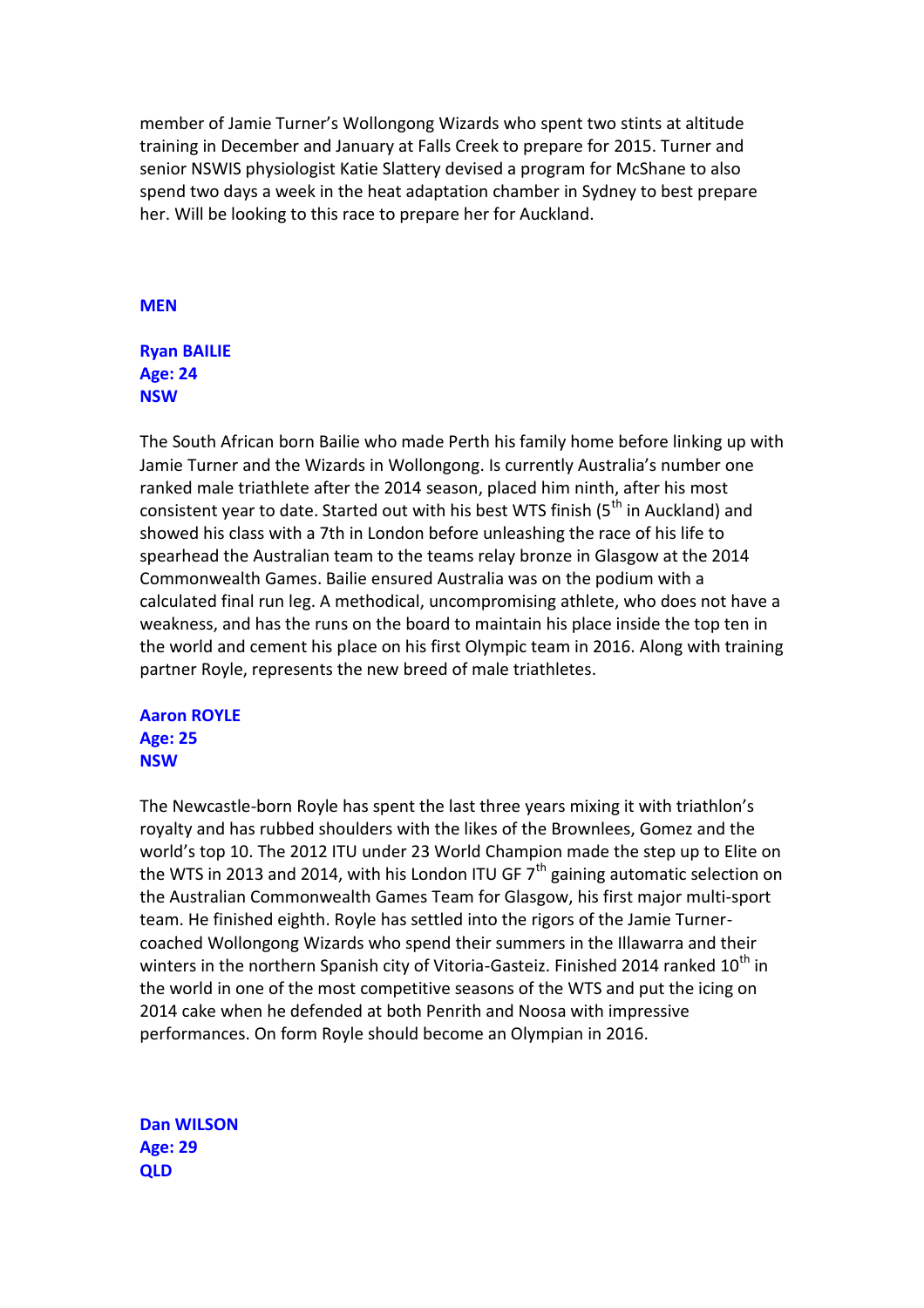member of Jamie Turner's Wollongong Wizards who spent two stints at altitude training in December and January at Falls Creek to prepare for 2015. Turner and senior NSWIS physiologist Katie Slattery devised a program for McShane to also spend two days a week in the heat adaptation chamber in Sydney to best prepare her. Will be looking to this race to prepare her for Auckland.

#### **MEN**

## **Ryan BAILIE Age: 24 NSW**

The South African born Bailie who made Perth his family home before linking up with Jamie Turner and the Wizards in Wollongong. Is currently Australia's number one ranked male triathlete after the 2014 season, placed him ninth, after his most consistent year to date. Started out with his best WTS finish (5<sup>th</sup> in Auckland) and showed his class with a 7th in London before unleashing the race of his life to spearhead the Australian team to the teams relay bronze in Glasgow at the 2014 Commonwealth Games. Bailie ensured Australia was on the podium with a calculated final run leg. A methodical, uncompromising athlete, who does not have a weakness, and has the runs on the board to maintain his place inside the top ten in the world and cement his place on his first Olympic team in 2016. Along with training partner Royle, represents the new breed of male triathletes.

# **Aaron ROYLE Age: 25 NSW**

The Newcastle-born Royle has spent the last three years mixing it with triathlon's royalty and has rubbed shoulders with the likes of the Brownlees, Gomez and the world's top 10. The 2012 ITU under 23 World Champion made the step up to Elite on the WTS in 2013 and 2014, with his London ITU GF  $7<sup>th</sup>$  gaining automatic selection on the Australian Commonwealth Games Team for Glasgow, his first major multi-sport team. He finished eighth. Royle has settled into the rigors of the Jamie Turnercoached Wollongong Wizards who spend their summers in the Illawarra and their winters in the northern Spanish city of Vitoria-Gasteiz. Finished 2014 ranked  $10<sup>th</sup>$  in the world in one of the most competitive seasons of the WTS and put the icing on 2014 cake when he defended at both Penrith and Noosa with impressive performances. On form Royle should become an Olympian in 2016.

**Dan WILSON Age: 29 QLD**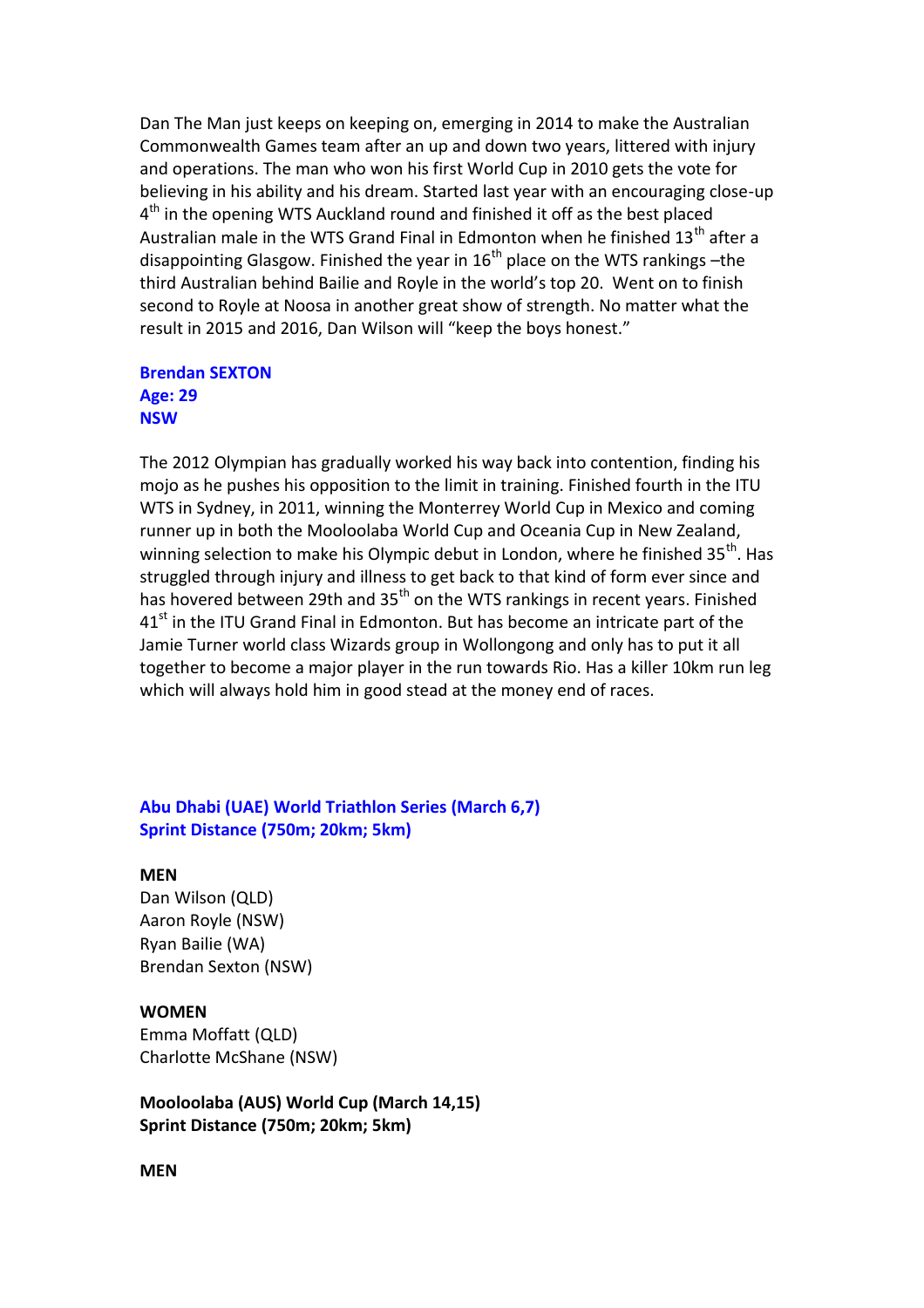Dan The Man just keeps on keeping on, emerging in 2014 to make the Australian Commonwealth Games team after an up and down two years, littered with injury and operations. The man who won his first World Cup in 2010 gets the vote for believing in his ability and his dream. Started last year with an encouraging close-up 4<sup>th</sup> in the opening WTS Auckland round and finished it off as the best placed Australian male in the WTS Grand Final in Edmonton when he finished  $13<sup>th</sup>$  after a disappointing Glasgow. Finished the year in  $16<sup>th</sup>$  place on the WTS rankings –the third Australian behind Bailie and Royle in the world's top 20. Went on to finish second to Royle at Noosa in another great show of strength. No matter what the result in 2015 and 2016, Dan Wilson will "keep the boys honest."

## **Brendan SEXTON Age: 29 NSW**

The 2012 Olympian has gradually worked his way back into contention, finding his mojo as he pushes his opposition to the limit in training. Finished fourth in the ITU WTS in Sydney, in 2011, winning the Monterrey World Cup in Mexico and coming runner up in both the Mooloolaba World Cup and Oceania Cup in New Zealand, winning selection to make his Olympic debut in London, where he finished  $35<sup>th</sup>$ . Has struggled through injury and illness to get back to that kind of form ever since and has hovered between 29th and  $35<sup>th</sup>$  on the WTS rankings in recent years. Finished  $41<sup>st</sup>$  in the ITU Grand Final in Edmonton. But has become an intricate part of the Jamie Turner world class Wizards group in Wollongong and only has to put it all together to become a major player in the run towards Rio. Has a killer 10km run leg which will always hold him in good stead at the money end of races.

# **Abu Dhabi (UAE) World Triathlon Series (March 6,7) Sprint Distance (750m; 20km; 5km)**

#### **MEN**

Dan Wilson (QLD) Aaron Royle (NSW) Ryan Bailie (WA) Brendan Sexton (NSW)

#### **WOMEN**

Emma Moffatt (QLD) Charlotte McShane (NSW)

**Mooloolaba (AUS) World Cup (March 14,15) Sprint Distance (750m; 20km; 5km)**

#### **MEN**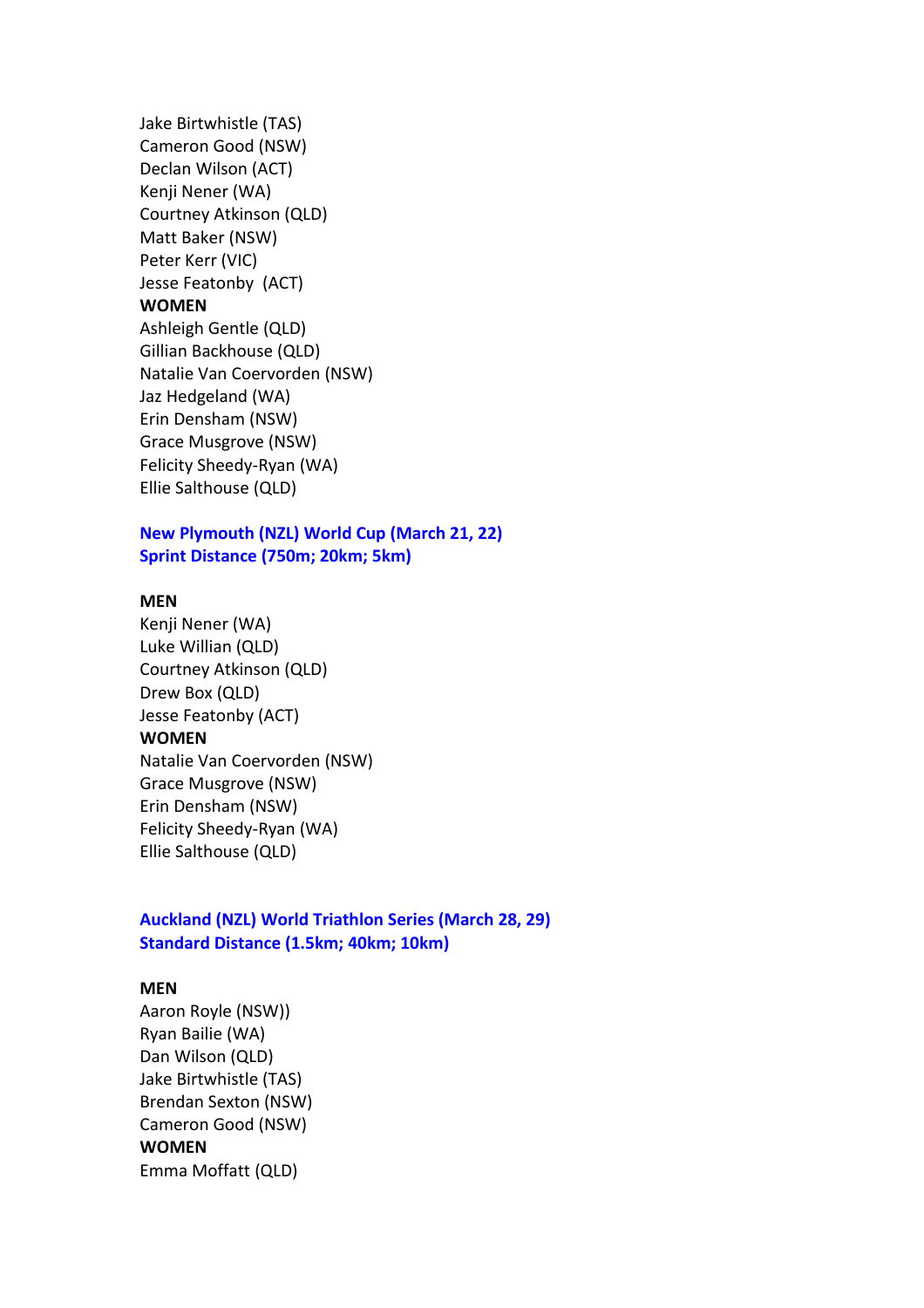Jake Birtwhistle (TAS) Cameron Good (NSW) Declan Wilson (ACT) Kenji Nener (WA) Courtney Atkinson (QLD) Matt Baker (NSW) Peter Kerr (VIC) Jesse Featonby (ACT) **WOMEN** Ashleigh Gentle (QLD) Gillian Backhouse (QLD) Natalie Van Coervorden (NSW) Jaz Hedgeland (WA) Erin Densham (NSW) Grace Musgrove (NSW) Felicity Sheedy-Ryan (WA) Ellie Salthouse (QLD)

## **New Plymouth (NZL) World Cup (March 21, 22) Sprint Distance (750m; 20km; 5km)**

#### **MEN**

Kenji Nener (WA) Luke Willian (QLD) Courtney Atkinson (QLD) Drew Box (QLD) Jesse Featonby (ACT) **WOMEN** Natalie Van Coervorden (NSW) Grace Musgrove (NSW) Erin Densham (NSW) Felicity Sheedy-Ryan (WA) Ellie Salthouse (QLD)

# **Auckland (NZL) World Triathlon Series (March 28, 29) Standard Distance (1.5km; 40km; 10km)**

#### **MEN**

Aaron Royle (NSW)) Ryan Bailie (WA) Dan Wilson (QLD) Jake Birtwhistle (TAS) Brendan Sexton (NSW) Cameron Good (NSW) **WOMEN** Emma Moffatt (QLD)